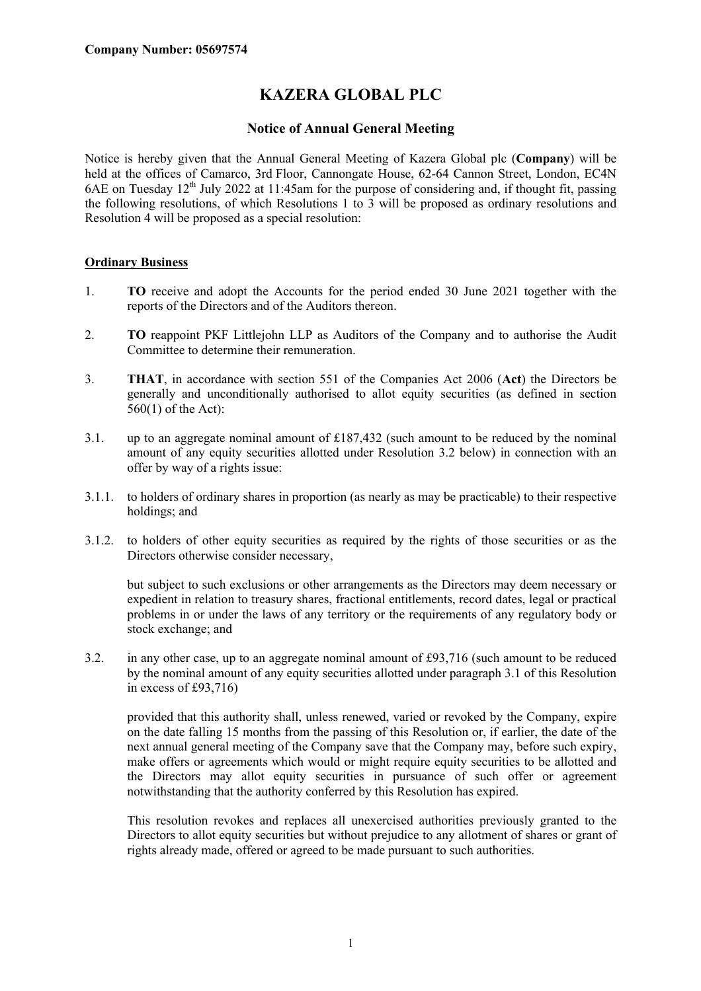# **KAZERA GLOBAL PLC**

## **Notice of Annual General Meeting**

Notice is hereby given that the Annual General Meeting of Kazera Global plc (**Company**) will be held at the offices of Camarco, 3rd Floor, Cannongate House, 62-64 Cannon Street, London, EC4N 6AE on Tuesday  $12<sup>th</sup>$  July 2022 at 11:45am for the purpose of considering and, if thought fit, passing the following resolutions, of which Resolutions 1 to 3 will be proposed as ordinary resolutions and Resolution 4 will be proposed as a special resolution:

#### **Ordinary Business**

- 1. **TO** receive and adopt the Accounts for the period ended 30 June 2021 together with the reports of the Directors and of the Auditors thereon.
- 2. **TO** reappoint PKF Littlejohn LLP as Auditors of the Company and to authorise the Audit Committee to determine their remuneration.
- 3. **THAT**, in accordance with section 551 of the Companies Act 2006 (**Act**) the Directors be generally and unconditionally authorised to allot equity securities (as defined in section  $560(1)$  of the Act):
- 3.1. up to an aggregate nominal amount of £187,432 (such amount to be reduced by the nominal amount of any equity securities allotted under Resolution 3.2 below) in connection with an offer by way of a rights issue:
- 3.1.1. to holders of ordinary shares in proportion (as nearly as may be practicable) to their respective holdings; and
- 3.1.2. to holders of other equity securities as required by the rights of those securities or as the Directors otherwise consider necessary,

but subject to such exclusions or other arrangements as the Directors may deem necessary or expedient in relation to treasury shares, fractional entitlements, record dates, legal or practical problems in or under the laws of any territory or the requirements of any regulatory body or stock exchange; and

3.2. in any other case, up to an aggregate nominal amount of £93,716 (such amount to be reduced by the nominal amount of any equity securities allotted under paragraph 3.1 of this Resolution in excess of £93,716)

provided that this authority shall, unless renewed, varied or revoked by the Company, expire on the date falling 15 months from the passing of this Resolution or, if earlier, the date of the next annual general meeting of the Company save that the Company may, before such expiry, make offers or agreements which would or might require equity securities to be allotted and the Directors may allot equity securities in pursuance of such offer or agreement notwithstanding that the authority conferred by this Resolution has expired.

This resolution revokes and replaces all unexercised authorities previously granted to the Directors to allot equity securities but without prejudice to any allotment of shares or grant of rights already made, offered or agreed to be made pursuant to such authorities.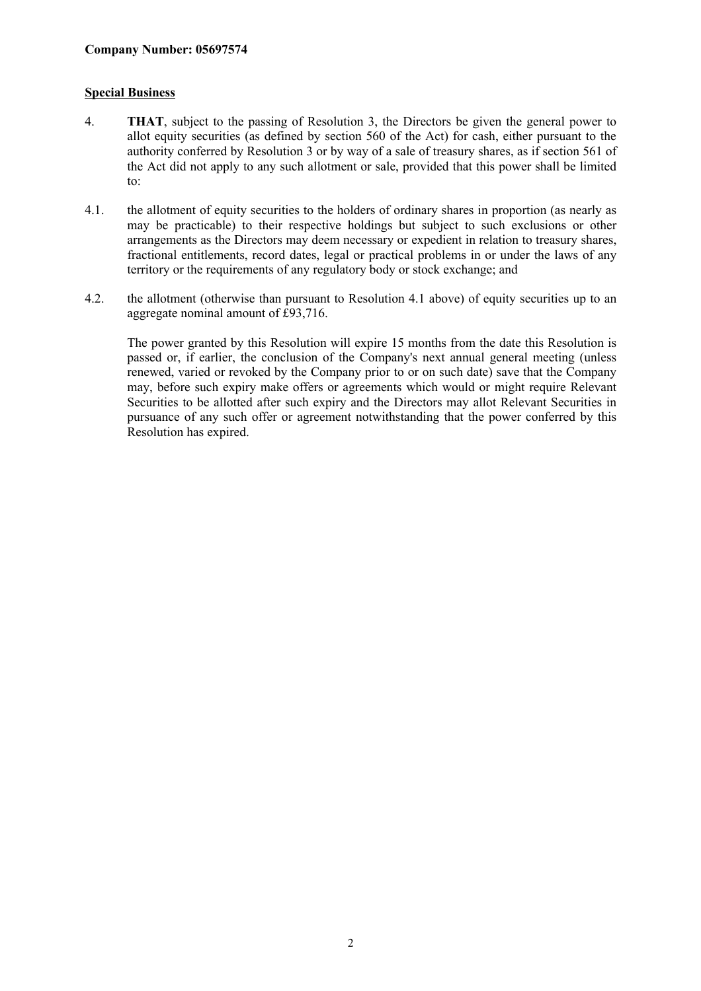## **Special Business**

- 4. **THAT**, subject to the passing of Resolution 3, the Directors be given the general power to allot equity securities (as defined by section 560 of the Act) for cash, either pursuant to the authority conferred by Resolution 3 or by way of a sale of treasury shares, as if section 561 of the Act did not apply to any such allotment or sale, provided that this power shall be limited to:
- 4.1. the allotment of equity securities to the holders of ordinary shares in proportion (as nearly as may be practicable) to their respective holdings but subject to such exclusions or other arrangements as the Directors may deem necessary or expedient in relation to treasury shares, fractional entitlements, record dates, legal or practical problems in or under the laws of any territory or the requirements of any regulatory body or stock exchange; and
- 4.2. the allotment (otherwise than pursuant to Resolution 4.1 above) of equity securities up to an aggregate nominal amount of £93,716.

The power granted by this Resolution will expire 15 months from the date this Resolution is passed or, if earlier, the conclusion of the Company's next annual general meeting (unless renewed, varied or revoked by the Company prior to or on such date) save that the Company may, before such expiry make offers or agreements which would or might require Relevant Securities to be allotted after such expiry and the Directors may allot Relevant Securities in pursuance of any such offer or agreement notwithstanding that the power conferred by this Resolution has expired.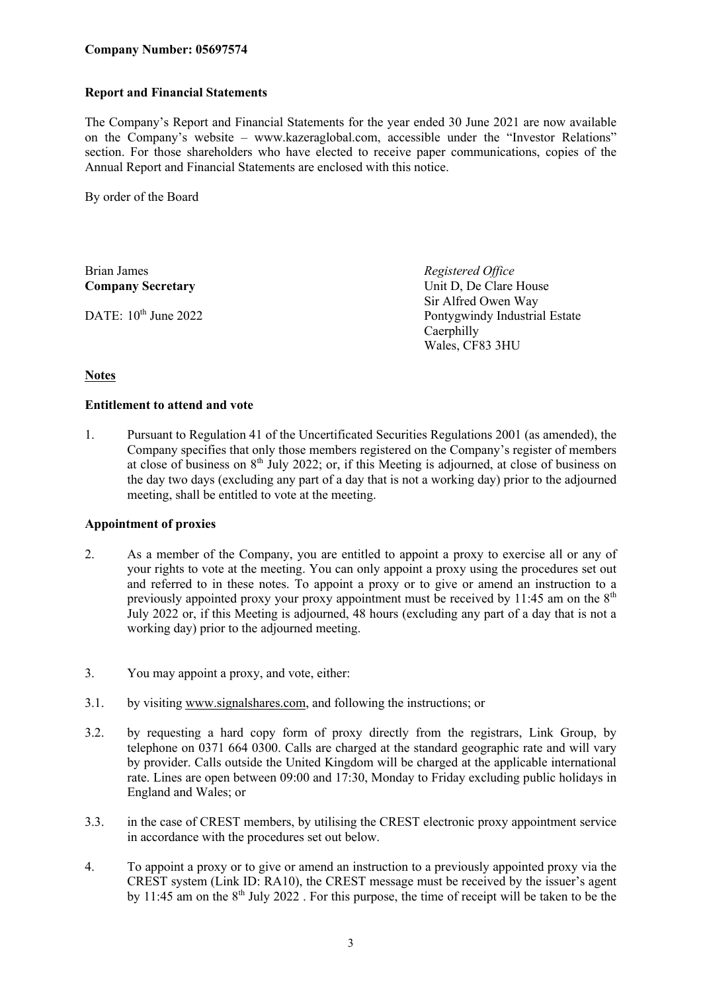# **Report and Financial Statements**

The Company's Report and Financial Statements for the year ended 30 June 2021 are now available on the Company's website – www.kazeraglobal.com, accessible under the "Investor Relations" section. For those shareholders who have elected to receive paper communications, copies of the Annual Report and Financial Statements are enclosed with this notice.

By order of the Board

Brian James *Registered Office* **Company Secretary** Unit D, De Clare House

Sir Alfred Owen Way DATE: 10<sup>th</sup> June 2022 Pontygwindy Industrial Estate **Caerphilly** Wales, CF83 3HU

# **Notes**

### **Entitlement to attend and vote**

1. Pursuant to Regulation 41 of the Uncertificated Securities Regulations 2001 (as amended), the Company specifies that only those members registered on the Company's register of members at close of business on  $8<sup>th</sup>$  July 2022; or, if this Meeting is adjourned, at close of business on the day two days (excluding any part of a day that is not a working day) prior to the adjourned meeting, shall be entitled to vote at the meeting.

### **Appointment of proxies**

- 2. As a member of the Company, you are entitled to appoint a proxy to exercise all or any of your rights to vote at the meeting. You can only appoint a proxy using the procedures set out and referred to in these notes. To appoint a proxy or to give or amend an instruction to a previously appointed proxy your proxy appointment must be received by 11:45 am on the  $8<sup>th</sup>$ July 2022 or, if this Meeting is adjourned, 48 hours (excluding any part of a day that is not a working day) prior to the adjourned meeting.
- 3. You may appoint a proxy, and vote, either:
- 3.1. by visiting www.signalshares.com, and following the instructions; or
- 3.2. by requesting a hard copy form of proxy directly from the registrars, Link Group, by telephone on 0371 664 0300. Calls are charged at the standard geographic rate and will vary by provider. Calls outside the United Kingdom will be charged at the applicable international rate. Lines are open between 09:00 and 17:30, Monday to Friday excluding public holidays in England and Wales; or
- 3.3. in the case of CREST members, by utilising the CREST electronic proxy appointment service in accordance with the procedures set out below.
- 4. To appoint a proxy or to give or amend an instruction to a previously appointed proxy via the CREST system (Link ID: RA10), the CREST message must be received by the issuer's agent by 11:45 am on the  $8<sup>th</sup>$  July 2022. For this purpose, the time of receipt will be taken to be the